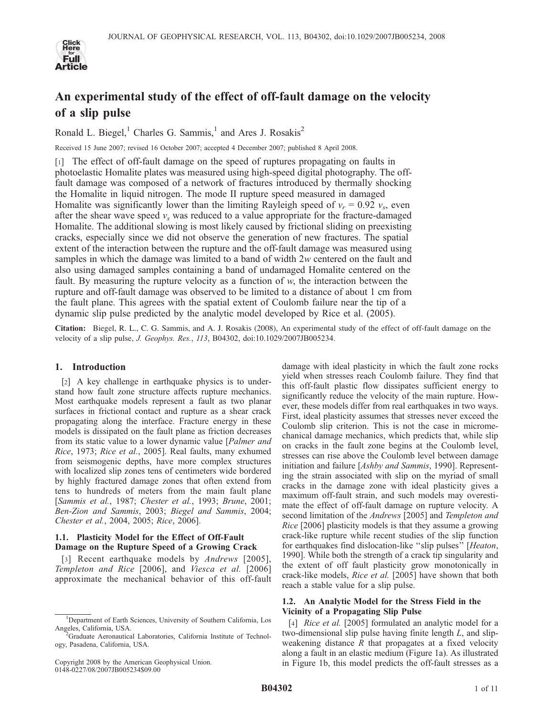

# An experimental study of the effect of off-fault damage on the velocity of a slip pulse

Ronald L. Biegel,<sup>1</sup> Charles G. Sammis,<sup>1</sup> and Ares J. Rosakis<sup>2</sup>

Received 15 June 2007; revised 16 October 2007; accepted 4 December 2007; published 8 April 2008.

[1] The effect of off-fault damage on the speed of ruptures propagating on faults in photoelastic Homalite plates was measured using high-speed digital photography. The offfault damage was composed of a network of fractures introduced by thermally shocking the Homalite in liquid nitrogen. The mode II rupture speed measured in damaged Homalite was significantly lower than the limiting Rayleigh speed of  $v_r = 0.92$   $v_s$ , even after the shear wave speed  $v<sub>s</sub>$  was reduced to a value appropriate for the fracture-damaged Homalite. The additional slowing is most likely caused by frictional sliding on preexisting cracks, especially since we did not observe the generation of new fractures. The spatial extent of the interaction between the rupture and the off-fault damage was measured using samples in which the damage was limited to a band of width 2w centered on the fault and also using damaged samples containing a band of undamaged Homalite centered on the fault. By measuring the rupture velocity as a function of w, the interaction between the rupture and off-fault damage was observed to be limited to a distance of about 1 cm from the fault plane. This agrees with the spatial extent of Coulomb failure near the tip of a dynamic slip pulse predicted by the analytic model developed by Rice et al. (2005).

Citation: Biegel, R. L., C. G. Sammis, and A. J. Rosakis (2008), An experimental study of the effect of off-fault damage on the velocity of a slip pulse, J. Geophys. Res., 113, B04302, doi:10.1029/2007JB005234.

# 1. Introduction

[2] A key challenge in earthquake physics is to understand how fault zone structure affects rupture mechanics. Most earthquake models represent a fault as two planar surfaces in frictional contact and rupture as a shear crack propagating along the interface. Fracture energy in these models is dissipated on the fault plane as friction decreases from its static value to a lower dynamic value [*Palmer and* Rice, 1973; Rice et al., 2005]. Real faults, many exhumed from seismogenic depths, have more complex structures with localized slip zones tens of centimeters wide bordered by highly fractured damage zones that often extend from tens to hundreds of meters from the main fault plane [Sammis et al., 1987; Chester et al., 1993; Brune, 2001; Ben-Zion and Sammis, 2003; Biegel and Sammis, 2004; Chester et al., 2004, 2005; Rice, 2006].

# 1.1. Plasticity Model for the Effect of Off-Fault Damage on the Rupture Speed of a Growing Crack

[3] Recent earthquake models by Andrews [2005], Templeton and Rice [2006], and Viesca et al. [2006] approximate the mechanical behavior of this off-fault damage with ideal plasticity in which the fault zone rocks yield when stresses reach Coulomb failure. They find that this off-fault plastic flow dissipates sufficient energy to significantly reduce the velocity of the main rupture. However, these models differ from real earthquakes in two ways. First, ideal plasticity assumes that stresses never exceed the Coulomb slip criterion. This is not the case in micromechanical damage mechanics, which predicts that, while slip on cracks in the fault zone begins at the Coulomb level, stresses can rise above the Coulomb level between damage initiation and failure [*Ashby and Sammis*, 1990]. Representing the strain associated with slip on the myriad of small cracks in the damage zone with ideal plasticity gives a maximum off-fault strain, and such models may overestimate the effect of off-fault damage on rupture velocity. A second limitation of the Andrews [2005] and Templeton and Rice [2006] plasticity models is that they assume a growing crack-like rupture while recent studies of the slip function for earthquakes find dislocation-like "slip pulses" [Heaton, 1990]. While both the strength of a crack tip singularity and the extent of off fault plasticity grow monotonically in crack-like models, Rice et al. [2005] have shown that both reach a stable value for a slip pulse.

# 1.2. An Analytic Model for the Stress Field in the Vicinity of a Propagating Slip Pulse

[4] *Rice et al.* [2005] formulated an analytic model for a two-dimensional slip pulse having finite length L, and slipweakening distance  $R$  that propagates at a fixed velocity along a fault in an elastic medium (Figure 1a). As illustrated in Figure 1b, this model predicts the off-fault stresses as a

<sup>&</sup>lt;sup>1</sup>Department of Earth Sciences, University of Southern California, Los Angeles, California, USA. <sup>2</sup>

Graduate Aeronautical Laboratories, California Institute of Technology, Pasadena, California, USA.

Copyright 2008 by the American Geophysical Union. 0148-0227/08/2007JB005234\$09.00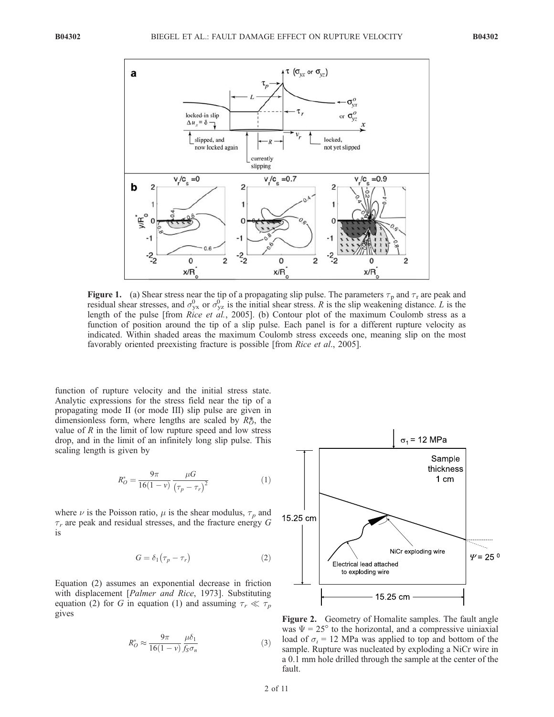

**Figure 1.** (a) Shear stress near the tip of a propagating slip pulse. The parameters  $\tau_p$  and  $\tau_r$  are peak and residual shear stresses, and  $\sigma_{yx}^0$  or  $\sigma_{yz}^0$  is the initial shear stress. R is the slip weakening distance. L is the length of the pulse [from *Rice et al.*, 2005]. (b) Contour plot of the maximum Coulomb stress as a function of position around the tip of a slip pulse. Each panel is for a different rupture velocity as indicated. Within shaded areas the maximum Coulomb stress exceeds one, meaning slip on the most favorably oriented preexisting fracture is possible [from Rice et al., 2005].

function of rupture velocity and the initial stress state. Analytic expressions for the stress field near the tip of a propagating mode II (or mode III) slip pulse are given in dimensionless form, where lengths are scaled by  $R_0^*$ , the value of  $R$  in the limit of low rupture speed and low stress drop, and in the limit of an infinitely long slip pulse. This scaling length is given by

$$
R_O^* = \frac{9\pi}{16(1-\nu)} \frac{\mu G}{(\tau_p - \tau_r)^2}
$$
 (1)

where  $\nu$  is the Poisson ratio,  $\mu$  is the shear modulus,  $\tau_p$  and  $\tau_r$  are peak and residual stresses, and the fracture energy G is

$$
G = \delta_1(\tau_p - \tau_r) \tag{2}
$$

Equation (2) assumes an exponential decrease in friction with displacement [Palmer and Rice, 1973]. Substituting equation (2) for G in equation (1) and assuming  $\tau_r \ll \tau_p$ gives

$$
R_O^* \approx \frac{9\pi}{16(1-\nu)} \frac{\mu\delta_1}{f_S \sigma_n} \tag{3}
$$



Figure 2. Geometry of Homalite samples. The fault angle was  $\Psi = 25^{\circ}$  to the horizontal, and a compressive uiniaxial load of  $\sigma_i$  = 12 MPa was applied to top and bottom of the sample. Rupture was nucleated by exploding a NiCr wire in a 0.1 mm hole drilled through the sample at the center of the fault.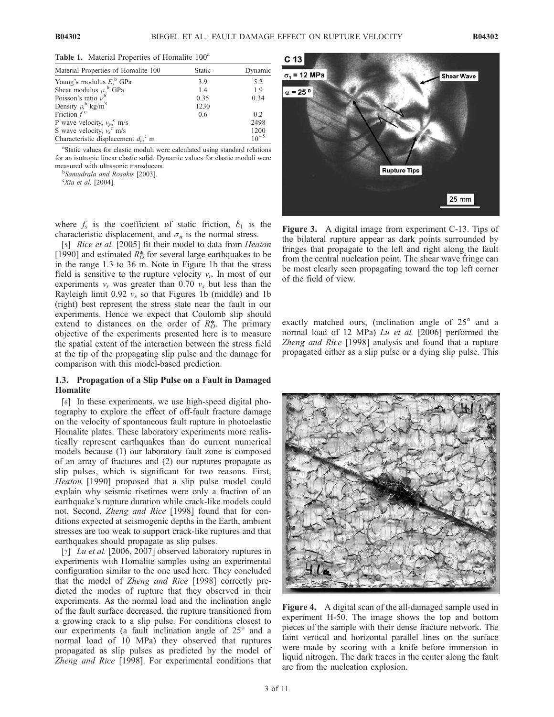|  |  | Table 1. Material Properties of Homalite 100 <sup>a</sup> |  |
|--|--|-----------------------------------------------------------|--|
|  |  |                                                           |  |

| Material Properties of Homalite 100              | Static | Dynamic   |
|--------------------------------------------------|--------|-----------|
| Young's modulus $Eb$ GPa                         | 3.9    | 5.2       |
| Shear modulus $\mu$ <sup>b</sup> GPa             | 1.4    | 1.9       |
| Poisson's ratio $\nu^b$                          | 0.35   | 0.34      |
| Density $\rho$ <sup>b</sup> kg/m <sup>3</sup>    | 1230   |           |
| Friction $f^c$                                   | 0.6    | 0.2       |
| P wave velocity, $v_p$ , m/s                     |        | 2498      |
| S wave velocity, $v_s^c$ m/s                     |        | 1200      |
| Characteristic displacement $d_c$ <sup>c</sup> m |        | $10^{-5}$ |

<sup>a</sup>Static values for elastic moduli were calculated using standard relations for an isotropic linear elastic solid. Dynamic values for elastic moduli were measured with ultrasonic transducers.

<sup>b</sup>Samudrala and Rosakis [2003].

 $\mathcal{C}$ Xia et al. [2004].

where  $f_s$  is the coefficient of static friction,  $\delta_1$  is the characteristic displacement, and  $\sigma_n$  is the normal stress.

[5] *Rice et al.* [2005] fit their model to data from *Heaton* [1990] and estimated  $R^*_{\mathcal{O}}$  for several large earthquakes to be in the range 1.3 to 36 m. Note in Figure 1b that the stress field is sensitive to the rupture velocity  $v_r$ . In most of our experiments  $v_r$  was greater than 0.70  $v_s$  but less than the Rayleigh limit  $0.92 v_s$  so that Figures 1b (middle) and 1b (right) best represent the stress state near the fault in our experiments. Hence we expect that Coulomb slip should extend to distances on the order of  $R\ddot{\delta}$ . The primary objective of the experiments presented here is to measure the spatial extent of the interaction between the stress field at the tip of the propagating slip pulse and the damage for comparison with this model-based prediction.

# 1.3. Propagation of a Slip Pulse on a Fault in Damaged **Homalite**

[6] In these experiments, we use high-speed digital photography to explore the effect of off-fault fracture damage on the velocity of spontaneous fault rupture in photoelastic Homalite plates. These laboratory experiments more realistically represent earthquakes than do current numerical models because (1) our laboratory fault zone is composed of an array of fractures and (2) our ruptures propagate as slip pulses, which is significant for two reasons. First, Heaton [1990] proposed that a slip pulse model could explain why seismic risetimes were only a fraction of an earthquake's rupture duration while crack-like models could not. Second, Zheng and Rice [1998] found that for conditions expected at seismogenic depths in the Earth, ambient stresses are too weak to support crack-like ruptures and that earthquakes should propagate as slip pulses.

[7] *Lu et al.* [2006, 2007] observed laboratory ruptures in experiments with Homalite samples using an experimental configuration similar to the one used here. They concluded that the model of Zheng and Rice [1998] correctly predicted the modes of rupture that they observed in their experiments. As the normal load and the inclination angle of the fault surface decreased, the rupture transitioned from a growing crack to a slip pulse. For conditions closest to our experiments (a fault inclination angle of  $25^{\circ}$  and a normal load of 10 MPa) they observed that ruptures propagated as slip pulses as predicted by the model of Zheng and Rice [1998]. For experimental conditions that



Figure 3. A digital image from experiment C-13. Tips of the bilateral rupture appear as dark points surrounded by fringes that propagate to the left and right along the fault from the central nucleation point. The shear wave fringe can be most clearly seen propagating toward the top left corner of the field of view.

exactly matched ours, (inclination angle of  $25^{\circ}$  and a normal load of 12 MPa) Lu et al. [2006] performed the Zheng and Rice [1998] analysis and found that a rupture propagated either as a slip pulse or a dying slip pulse. This



Figure 4. A digital scan of the all-damaged sample used in experiment H-50. The image shows the top and bottom pieces of the sample with their dense fracture network. The faint vertical and horizontal parallel lines on the surface were made by scoring with a knife before immersion in liquid nitrogen. The dark traces in the center along the fault are from the nucleation explosion.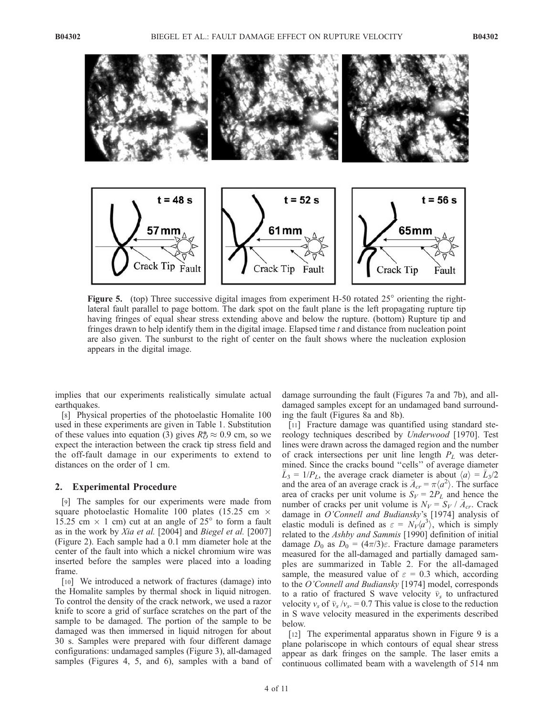

Figure 5. (top) Three successive digital images from experiment H-50 rotated  $25^\circ$  orienting the rightlateral fault parallel to page bottom. The dark spot on the fault plane is the left propagating rupture tip having fringes of equal shear stress extending above and below the rupture. (bottom) Rupture tip and fringes drawn to help identify them in the digital image. Elapsed time  $t$  and distance from nucleation point are also given. The sunburst to the right of center on the fault shows where the nucleation explosion appears in the digital image.

implies that our experiments realistically simulate actual earthquakes.

[8] Physical properties of the photoelastic Homalite 100 used in these experiments are given in Table 1. Substitution of these values into equation (3) gives  $R_O^* \approx 0.9$  cm, so we expect the interaction between the crack tip stress field and the off-fault damage in our experiments to extend to distances on the order of 1 cm.

## 2. Experimental Procedure

[9] The samples for our experiments were made from square photoelastic Homalite 100 plates (15.25 cm  $\times$ 15.25 cm  $\times$  1 cm) cut at an angle of 25 $\degree$  to form a fault as in the work by Xia et al. [2004] and Biegel et al. [2007] (Figure 2). Each sample had a 0.1 mm diameter hole at the center of the fault into which a nickel chromium wire was inserted before the samples were placed into a loading frame.

[10] We introduced a network of fractures (damage) into the Homalite samples by thermal shock in liquid nitrogen. To control the density of the crack network, we used a razor knife to score a grid of surface scratches on the part of the sample to be damaged. The portion of the sample to be damaged was then immersed in liquid nitrogen for about 30 s. Samples were prepared with four different damage configurations: undamaged samples (Figure 3), all-damaged samples (Figures 4, 5, and 6), samples with a band of damage surrounding the fault (Figures 7a and 7b), and alldamaged samples except for an undamaged band surrounding the fault (Figures 8a and 8b).

[11] Fracture damage was quantified using standard stereology techniques described by Underwood [1970]. Test lines were drawn across the damaged region and the number of crack intersections per unit line length  $P_L$  was determined. Since the cracks bound ''cells'' of average diameter  $\overline{L}_3 = 1/P_L$ , the average crack diameter is about  $\langle a \rangle = \overline{L}_3/2$ and the area of an average crack is  $\bar{A}_{cr} = \pi \langle a^2 \rangle$ . The surface area of cracks per unit volume is  $S_V = 2P_L$  and hence the number of cracks per unit volume is  $N_V = S_V / \bar{A}_{cr}$ . Crack damage in O'Connell and Budiansky's [1974] analysis of elastic moduli is defined as  $\varepsilon = N_V \langle a^3 \rangle$ , which is simply related to the Ashby and Sammis [1990] definition of initial damage  $D_0$  as  $D_0 = (4\pi/3)\varepsilon$ . Fracture damage parameters measured for the all-damaged and partially damaged samples are summarized in Table 2. For the all-damaged sample, the measured value of  $\varepsilon = 0.3$  which, according to the O'Connell and Budiansky [1974] model, corresponds to a ratio of fractured S wave velocity  $\bar{v}_s$  to unfractured velocity  $v_s$  of  $\bar{v}_s/v_s = 0.7$  This value is close to the reduction in S wave velocity measured in the experiments described below.

[12] The experimental apparatus shown in Figure 9 is a plane polariscope in which contours of equal shear stress appear as dark fringes on the sample. The laser emits a continuous collimated beam with a wavelength of 514 nm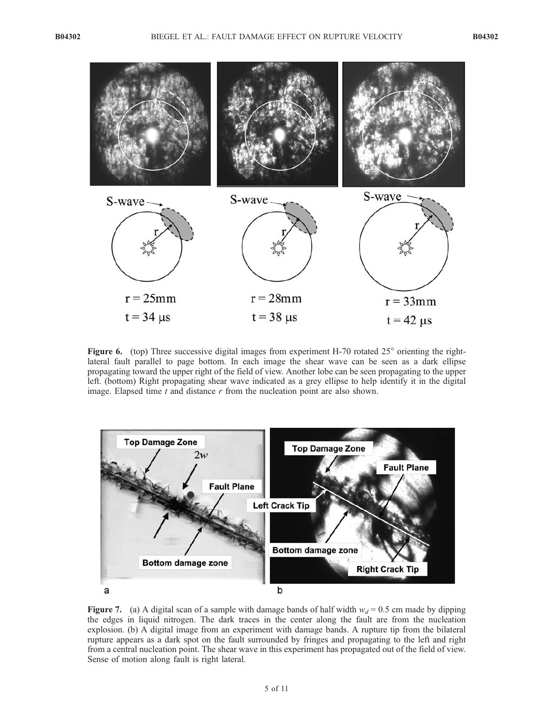

Figure 6. (top) Three successive digital images from experiment H-70 rotated  $25^\circ$  orienting the rightlateral fault parallel to page bottom. In each image the shear wave can be seen as a dark ellipse propagating toward the upper right of the field of view. Another lobe can be seen propagating to the upper left. (bottom) Right propagating shear wave indicated as a grey ellipse to help identify it in the digital image. Elapsed time  $t$  and distance  $r$  from the nucleation point are also shown.



Figure 7. (a) A digital scan of a sample with damage bands of half width  $w_d = 0.5$  cm made by dipping the edges in liquid nitrogen. The dark traces in the center along the fault are from the nucleation explosion. (b) A digital image from an experiment with damage bands. A rupture tip from the bilateral rupture appears as a dark spot on the fault surrounded by fringes and propagating to the left and right from a central nucleation point. The shear wave in this experiment has propagated out of the field of view. Sense of motion along fault is right lateral.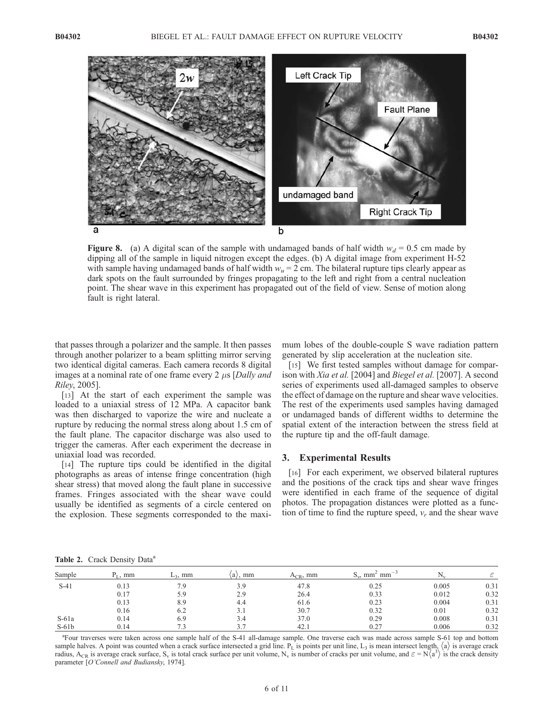

Figure 8. (a) A digital scan of the sample with undamaged bands of half width  $w_d = 0.5$  cm made by dipping all of the sample in liquid nitrogen except the edges. (b) A digital image from experiment H-52 with sample having undamaged bands of half width  $w_u = 2$  cm. The bilateral rupture tips clearly appear as dark spots on the fault surrounded by fringes propagating to the left and right from a central nucleation point. The shear wave in this experiment has propagated out of the field of view. Sense of motion along fault is right lateral.

that passes through a polarizer and the sample. It then passes through another polarizer to a beam splitting mirror serving two identical digital cameras. Each camera records 8 digital images at a nominal rate of one frame every 2  $\mu$ s [Dally and Riley, 2005].

[13] At the start of each experiment the sample was loaded to a uniaxial stress of 12 MPa. A capacitor bank was then discharged to vaporize the wire and nucleate a rupture by reducing the normal stress along about 1.5 cm of the fault plane. The capacitor discharge was also used to trigger the cameras. After each experiment the decrease in uniaxial load was recorded.

[14] The rupture tips could be identified in the digital photographs as areas of intense fringe concentration (high shear stress) that moved along the fault plane in successive frames. Fringes associated with the shear wave could usually be identified as segments of a circle centered on the explosion. These segments corresponded to the maximum lobes of the double-couple S wave radiation pattern generated by slip acceleration at the nucleation site.

[15] We first tested samples without damage for comparison with Xia et al. [2004] and Biegel et al. [2007]. A second series of experiments used all-damaged samples to observe the effect of damage on the rupture and shear wave velocities. The rest of the experiments used samples having damaged or undamaged bands of different widths to determine the spatial extent of the interaction between the stress field at the rupture tip and the off-fault damage.

## 3. Experimental Results

[16] For each experiment, we observed bilateral ruptures and the positions of the crack tips and shear wave fringes were identified in each frame of the sequence of digital photos. The propagation distances were plotted as a function of time to find the rupture speed,  $v_r$  and the shear wave

Table 2. Crack Density Data<sup>a</sup>

| Sample  | $P_{\text{I}}$ , mm | $L_3$ , mm | $\langle a \rangle$ , mm | $A_{CR}$ , mm | $mm^{-3}$<br>$S_{\rm w}$ , mm <sup>2</sup> |       |      |
|---------|---------------------|------------|--------------------------|---------------|--------------------------------------------|-------|------|
| $S-41$  | 0.13                | 7.9        | 3.9                      | 47.8          | 0.25                                       | 0.005 | 0.31 |
|         | 0.17                | 5.9        | 2.9                      | 26.4          | 0.33                                       | 0.012 | 0.32 |
|         | 0.13                | 8.9        | 4.4                      | 61.6          | 0.23                                       | 0.004 | 0.31 |
|         | 0.16                | 6.2        | 3.1                      | 30.7          | 0.32                                       | 0.01  | 0.32 |
| $S-61a$ | 0.14                | 6.9        | 3.4                      | 37.0          | 0.29                                       | 0.008 | 0.31 |
| $S-61b$ | 0.14                |            |                          | 42.1          | 0.27                                       | 0.006 | 0.32 |

a Four traverses were taken across one sample half of the S-41 all-damage sample. One traverse each was made across sample S-61 top and bottom sample halves. A point was counted when a crack surface intersected a grid line.  $P_L$  is points per unit line,  $L_3$  is mean intersect length,  $\langle a \rangle$  is average crack radius, A<sub>CR</sub> is average crack surface, S<sub>v</sub> is total crack surface per unit volume, N<sub>v</sub> is number of cracks per unit volume, and  $\varepsilon = N(a^3)$  is the crack density parameter [O'Connell and Budiansky, 1974].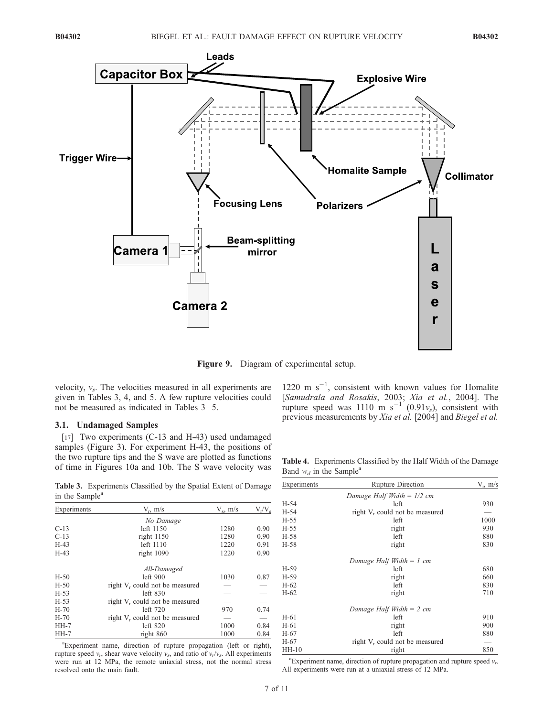

Figure 9. Diagram of experimental setup.

velocity,  $v_s$ . The velocities measured in all experiments are given in Tables 3, 4, and 5. A few rupture velocities could not be measured as indicated in Tables 3–5.

# 3.1. Undamaged Samples

[17] Two experiments (C-13 and H-43) used undamaged samples (Figure 3). For experiment H-43, the positions of the two rupture tips and the S wave are plotted as functions of time in Figures 10a and 10b. The S wave velocity was

Table 3. Experiments Classified by the Spatial Extent of Damage in the Sample<sup>a</sup>

| Experiments | $V_r$ , m/s                                | $V_s$ , m/s | $V_r/V_s$ |
|-------------|--------------------------------------------|-------------|-----------|
|             | No Damage                                  |             |           |
| $C-13$      | left 1150                                  | 1280        | 0.90      |
| $C-13$      | right 1150                                 | 1280        | 0.90      |
| $H-43$      | left 1110                                  | 1220        | 0.91      |
| $H-43$      | right 1090                                 | 1220        | 0.90      |
|             | All-Damaged                                |             |           |
| $H-50$      | left 900                                   | 1030        | 0.87      |
| $H-50$      | right V <sub>r</sub> could not be measured |             |           |
| $H-53$      | $left$ 830                                 |             |           |
| $H-53$      | right V <sub>r</sub> could not be measured |             |           |
| $H-70$      | left 720                                   | 970         | 0.74      |
| $H-70$      | right V <sub>r</sub> could not be measured |             |           |
| $HH-7$      | left $820$                                 | 1000        | 0.84      |
| $HH-7$      | right 860                                  | 1000        | 0.84      |

a Experiment name, direction of rupture propagation (left or right), rupture speed  $v_r$ , shear wave velocity  $v_s$ , and ratio of  $v_r/v_s$ . All experiments were run at 12 MPa, the remote uniaxial stress, not the normal stress resolved onto the main fault.

1220 m  $s^{-1}$ , consistent with known values for Homalite [Samudrala and Rosakis, 2003; Xia et al., 2004]. The rupture speed was 1110 m  $s^{-1}$  (0.91 $v_s$ ), consistent with previous measurements by Xia et al. [2004] and Biegel et al.

Table 4. Experiments Classified by the Half Width of the Damage Band  $w_d$  in the Sample<sup>a</sup>

| Experiments | <b>Rupture Direction</b>                   | $V_r$ , m/s |
|-------------|--------------------------------------------|-------------|
|             | Damage Half Width = $1/2$ cm               |             |
| H-54        | left                                       | 930         |
| $H-54$      | right V <sub>r</sub> could not be measured |             |
| $H-55$      | left                                       | 1000        |
| $H-55$      | right                                      | 930         |
| H-58        | left                                       | 880         |
| H-58        | right                                      | 830         |
|             | Damage Half Width = $1$ cm                 |             |
| $H-59$      | left                                       | 680         |
| $H-59$      | right                                      | 660         |
| $H-62$      | left                                       | 830         |
| $H-62$      | right                                      | 710         |
|             | Damage Half Width $= 2$ cm                 |             |
| $H-61$      | left                                       | 910         |
| $H-61$      | right                                      | 900         |
| H-67        | left                                       | 880         |
| $H-67$      | right V <sub>r</sub> could not be measured |             |
| $HH-10$     | right                                      | 850         |

<sup>a</sup> Experiment name, direction of rupture propagation and rupture speed  $v_r$ . All experiments were run at a uniaxial stress of 12 MPa.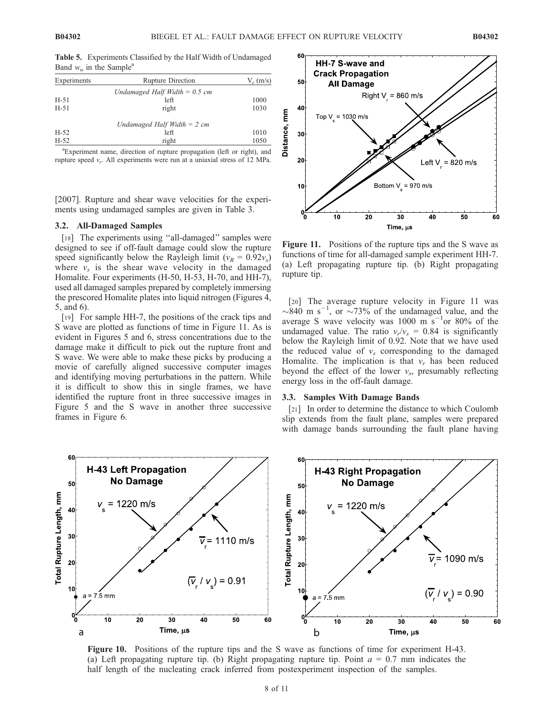Table 5. Experiments Classified by the Half Width of Undamaged Band  $w_u$  in the Sample<sup>a</sup>

| Experiments | <b>Rupture Direction</b>        | $V_r$ (m/s) |
|-------------|---------------------------------|-------------|
|             | Undamaged Half Width $= 0.5$ cm |             |
| $H-51$      | left                            | 1000        |
| $H-51$      | right                           | 1030        |
|             | Undamaged Half Width $= 2$ cm   |             |

H-52 left 1010 H-52 right 1050

a Experiment name, direction of rupture propagation (left or right), and rupture speed  $v_r$ . All experiments were run at a uniaxial stress of 12 MPa.

[2007]. Rupture and shear wave velocities for the experiments using undamaged samples are given in Table 3.

## 3.2. All-Damaged Samples

[18] The experiments using "all-damaged" samples were designed to see if off-fault damage could slow the rupture speed significantly below the Rayleigh limit ( $v_R = 0.92v_s$ ) where  $v_s$  is the shear wave velocity in the damaged Homalite. Four experiments (H-50, H-53, H-70, and HH-7), used all damaged samples prepared by completely immersing the prescored Homalite plates into liquid nitrogen (Figures 4, 5, and 6).

[19] For sample HH-7, the positions of the crack tips and S wave are plotted as functions of time in Figure 11. As is evident in Figures 5 and 6, stress concentrations due to the damage make it difficult to pick out the rupture front and S wave. We were able to make these picks by producing a movie of carefully aligned successive computer images and identifying moving perturbations in the pattern. While it is difficult to show this in single frames, we have identified the rupture front in three successive images in Figure 5 and the S wave in another three successive frames in Figure 6.



Figure 11. Positions of the rupture tips and the S wave as functions of time for all-damaged sample experiment HH-7. (a) Left propagating rupture tip. (b) Right propagating rupture tip.

[20] The average rupture velocity in Figure 11 was  $\sim 840$  m s<sup>-1</sup>, or  $\sim 73\%$  of the undamaged value, and the average S wave velocity was 1000 m  $s^{-1}$ or 80% of the undamaged value. The ratio  $v_r/v_s = 0.84$  is significantly below the Rayleigh limit of 0.92. Note that we have used the reduced value of  $v_s$  corresponding to the damaged Homalite. The implication is that  $v_r$  has been reduced beyond the effect of the lower  $v_s$ , presumably reflecting energy loss in the off-fault damage.

## 3.3. Samples With Damage Bands

[21] In order to determine the distance to which Coulomb slip extends from the fault plane, samples were prepared with damage bands surrounding the fault plane having



Figure 10. Positions of the rupture tips and the S wave as functions of time for experiment H-43. (a) Left propagating rupture tip. (b) Right propagating rupture tip. Point  $a = 0.7$  mm indicates the half length of the nucleating crack inferred from postexperiment inspection of the samples.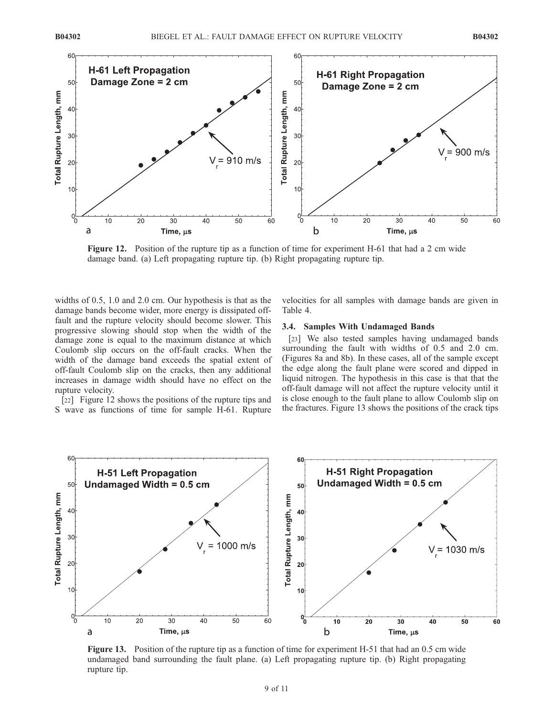

Figure 12. Position of the rupture tip as a function of time for experiment H-61 that had a 2 cm wide damage band. (a) Left propagating rupture tip. (b) Right propagating rupture tip.

widths of 0.5, 1.0 and 2.0 cm. Our hypothesis is that as the damage bands become wider, more energy is dissipated offfault and the rupture velocity should become slower. This progressive slowing should stop when the width of the damage zone is equal to the maximum distance at which Coulomb slip occurs on the off-fault cracks. When the width of the damage band exceeds the spatial extent of off-fault Coulomb slip on the cracks, then any additional increases in damage width should have no effect on the rupture velocity.

[22] Figure 12 shows the positions of the rupture tips and S wave as functions of time for sample H-61. Rupture velocities for all samples with damage bands are given in Table 4.

#### 3.4. Samples With Undamaged Bands

[23] We also tested samples having undamaged bands surrounding the fault with widths of 0.5 and 2.0 cm. (Figures 8a and 8b). In these cases, all of the sample except the edge along the fault plane were scored and dipped in liquid nitrogen. The hypothesis in this case is that that the off-fault damage will not affect the rupture velocity until it is close enough to the fault plane to allow Coulomb slip on the fractures. Figure 13 shows the positions of the crack tips



Figure 13. Position of the rupture tip as a function of time for experiment H-51 that had an 0.5 cm wide undamaged band surrounding the fault plane. (a) Left propagating rupture tip. (b) Right propagating rupture tip.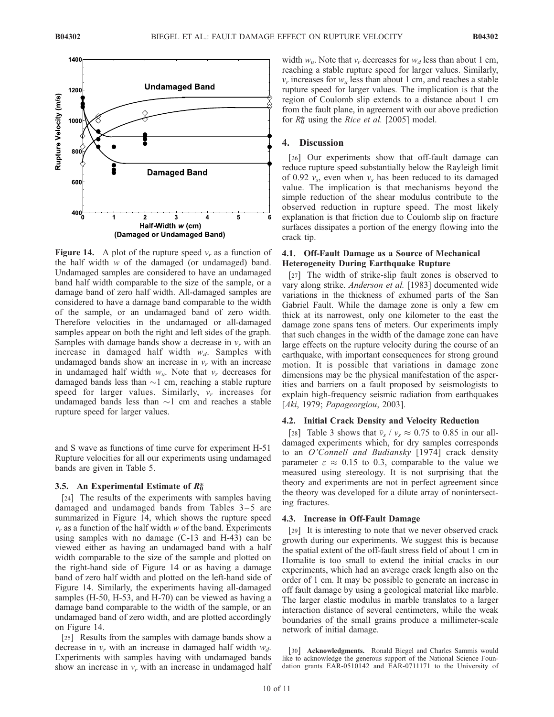

**Figure 14.** A plot of the rupture speed  $v_r$  as a function of the half width  $w$  of the damaged (or undamaged) band. Undamaged samples are considered to have an undamaged band half width comparable to the size of the sample, or a damage band of zero half width. All-damaged samples are considered to have a damage band comparable to the width of the sample, or an undamaged band of zero width. Therefore velocities in the undamaged or all-damaged samples appear on both the right and left sides of the graph. Samples with damage bands show a decrease in  $v_r$  with an increase in damaged half width  $w_d$ . Samples with undamaged bands show an increase in  $v_r$  with an increase in undamaged half width  $w_u$ . Note that  $v_r$  decreases for damaged bands less than  $\sim$ 1 cm, reaching a stable rupture speed for larger values. Similarly,  $v_r$  increases for undamaged bands less than  $\sim$ 1 cm and reaches a stable rupture speed for larger values.

and S wave as functions of time curve for experiment H-51 Rupture velocities for all our experiments using undamaged bands are given in Table 5.

### 3.5. An Experimental Estimate of  $R_0^*$

[24] The results of the experiments with samples having damaged and undamaged bands from Tables  $3-5$  are summarized in Figure 14, which shows the rupture speed  $v_r$  as a function of the half width w of the band. Experiments using samples with no damage (C-13 and H-43) can be viewed either as having an undamaged band with a half width comparable to the size of the sample and plotted on the right-hand side of Figure 14 or as having a damage band of zero half width and plotted on the left-hand side of Figure 14. Similarly, the experiments having all-damaged samples (H-50, H-53, and H-70) can be viewed as having a damage band comparable to the width of the sample, or an undamaged band of zero width, and are plotted accordingly on Figure 14.

[25] Results from the samples with damage bands show a decrease in  $v_r$  with an increase in damaged half width  $w_d$ . Experiments with samples having with undamaged bands show an increase in  $v_r$  with an increase in undamaged half

width  $w_u$ . Note that  $v_r$  decreases for  $w_d$  less than about 1 cm, reaching a stable rupture speed for larger values. Similarly,  $v_r$  increases for  $w_u$  less than about 1 cm, and reaches a stable rupture speed for larger values. The implication is that the region of Coulomb slip extends to a distance about 1 cm from the fault plane, in agreement with our above prediction for  $R_0^*$  using the *Rice et al.* [2005] model.

## 4. Discussion

[26] Our experiments show that off-fault damage can reduce rupture speed substantially below the Rayleigh limit of 0.92  $v_s$ , even when  $v_s$  has been reduced to its damaged value. The implication is that mechanisms beyond the simple reduction of the shear modulus contribute to the observed reduction in rupture speed. The most likely explanation is that friction due to Coulomb slip on fracture surfaces dissipates a portion of the energy flowing into the crack tip.

# 4.1. Off-Fault Damage as a Source of Mechanical Heterogeneity During Earthquake Rupture

[27] The width of strike-slip fault zones is observed to vary along strike. Anderson et al. [1983] documented wide variations in the thickness of exhumed parts of the San Gabriel Fault. While the damage zone is only a few cm thick at its narrowest, only one kilometer to the east the damage zone spans tens of meters. Our experiments imply that such changes in the width of the damage zone can have large effects on the rupture velocity during the course of an earthquake, with important consequences for strong ground motion. It is possible that variations in damage zone dimensions may be the physical manifestation of the asperities and barriers on a fault proposed by seismologists to explain high-frequency seismic radiation from earthquakes [Aki, 1979; Papageorgiou, 2003].

## 4.2. Initial Crack Density and Velocity Reduction

[28] Table 3 shows that  $\bar{v}_s / v_s \approx 0.75$  to 0.85 in our alldamaged experiments which, for dry samples corresponds to an O'Connell and Budiansky [1974] crack density parameter  $\varepsilon \approx 0.15$  to 0.3, comparable to the value we measured using stereology. It is not surprising that the theory and experiments are not in perfect agreement since the theory was developed for a dilute array of nonintersecting fractures.

#### 4.3. Increase in Off-Fault Damage

[29] It is interesting to note that we never observed crack growth during our experiments. We suggest this is because the spatial extent of the off-fault stress field of about 1 cm in Homalite is too small to extend the initial cracks in our experiments, which had an average crack length also on the order of 1 cm. It may be possible to generate an increase in off fault damage by using a geological material like marble. The larger elastic modulus in marble translates to a larger interaction distance of several centimeters, while the weak boundaries of the small grains produce a millimeter-scale network of initial damage.

[30] **Acknowledgments.** Ronald Biegel and Charles Sammis would like to acknowledge the generous support of the National Science Foundation grants EAR-0510142 and EAR-0711171 to the University of